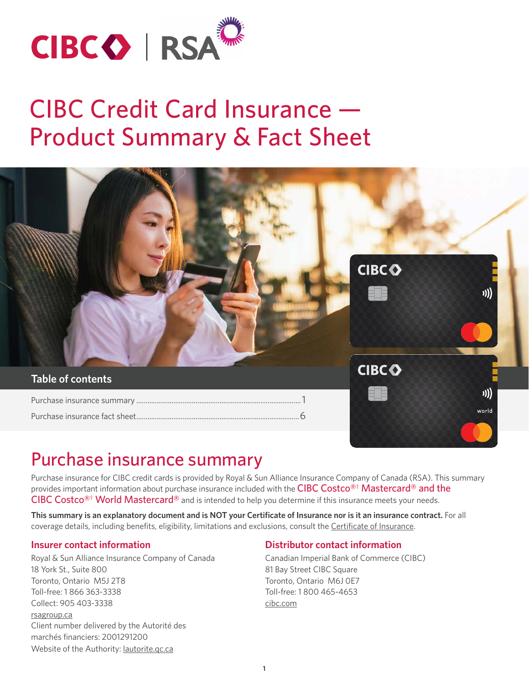

# CIBC Credit Card Insurance — Product Summary & Fact Sheet



## Purchase insurance summary

Purchase insurance for CIBC credit cards is provided by Royal & Sun Alliance Insurance Company of Canada (RSA). This summary provides important information about purchase insurance included with the <code>CIBC Costco[®†](#page-4-0)</code>  $\mathsf{Mastercard}$ ® and the CIBC Costco<sup>®†</sup> World Mastercard<sup>®</sup> and is intended to help you determine if this insurance meets your needs.

**This summary is an explanatory document and is NOT your Certificate of Insurance nor is it an insurance contract.** For all coverage details, including benefits, eligibility, limitations and exclusions, consult the [Certificate of Insurance.](https://www.cibc.com/content/dam/cibc-public-assets/personal-banking/credit-cards/all-credit-cards/costco/documents/cibc-costco-ins-cert-en.pdf)

#### **Insurer contact information**

Royal & Sun Alliance Insurance Company of Canada 18 York St., Suite 800 Toronto, Ontario M5J 2T8 Toll-free: 1 866 363-3338 Collect: 905 403-3338 [rsagroup.ca](http://rsagroup.ca) Client number delivered by the Autorité des marchés financiers: 2001291200 Website of the Authority: *[lautorite.qc.ca](https://lautorite.qc.ca/en/general-public)* 

#### **Distributor contact information**

Canadian Imperial Bank of Commerce (CIBC) 81 Bay Street CIBC Square Toronto, Ontario M6J 0E7 Toll-free: 1 800 465-4653 [cibc.com](http://cibc.com)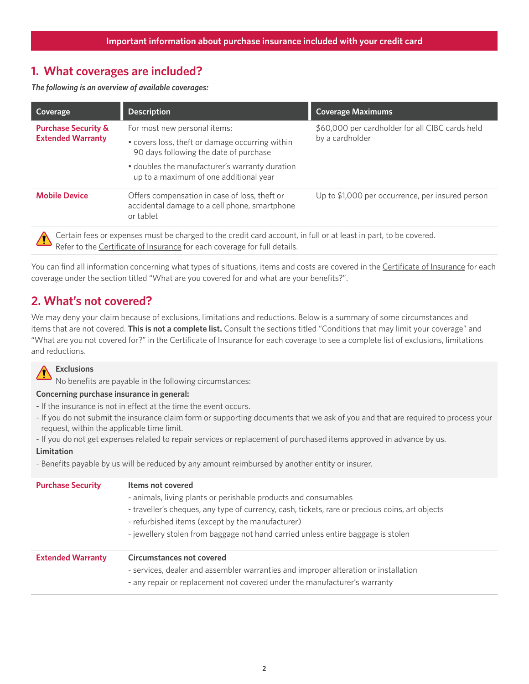## **1. What coverages are included?**

*The following is an overview of available coverages:*

| Coverage                                                                                                                                                                                      | <b>Description</b>                                                                                          | <b>Coverage Maximums</b>                         |  |  |
|-----------------------------------------------------------------------------------------------------------------------------------------------------------------------------------------------|-------------------------------------------------------------------------------------------------------------|--------------------------------------------------|--|--|
| <b>Purchase Security &amp;</b><br><b>Extended Warranty</b>                                                                                                                                    | For most new personal items:                                                                                | \$60,000 per cardholder for all CIBC cards held  |  |  |
|                                                                                                                                                                                               | • covers loss, theft or damage occurring within<br>90 days following the date of purchase                   | by a cardholder                                  |  |  |
|                                                                                                                                                                                               | • doubles the manufacturer's warranty duration<br>up to a maximum of one additional year                    |                                                  |  |  |
| <b>Mobile Device</b>                                                                                                                                                                          | Offers compensation in case of loss, theft or<br>accidental damage to a cell phone, smartphone<br>or tablet | Up to \$1,000 per occurrence, per insured person |  |  |
| Certain fees or expenses must be charged to the credit card account, in full or at least in part, to be covered.<br>Refer to the Certificate of Insurance for each coverage for full details. |                                                                                                             |                                                  |  |  |

You can find all information concerning what types of situations, items and costs are covered in the [Certificate of Insurance](https://www.cibc.com/content/dam/cibc-public-assets/personal-banking/credit-cards/all-credit-cards/costco/documents/cibc-costco-ins-cert-en.pdf) for each coverage under the section titled "What are you covered for and what are your benefits?".

## **2. What's not covered?**

We may deny your claim because of exclusions, limitations and reductions. Below is a summary of some circumstances and items that are not covered. **This is not a complete list.** Consult the sections titled "Conditions that may limit your coverage" and "What are you not covered for?" in the [Certificate of Insurance](https://www.cibc.com/content/dam/cibc-public-assets/personal-banking/credit-cards/all-credit-cards/costco/documents/cibc-costco-ins-cert-en.pdf) for each coverage to see a complete list of exclusions, limitations and reductions.



No benefits are payable in the following circumstances:

#### **Concerning purchase insurance in general:**

- If the insurance is not in effect at the time the event occurs.
- If you do not submit the insurance claim form or supporting documents that we ask of you and that are required to process your request, within the applicable time limit.
- If you do not get expenses related to repair services or replacement of purchased items approved in advance by us.

#### **Limitation**

- Benefits payable by us will be reduced by any amount reimbursed by another entity or insurer.

| <b>Purchase Security</b> | Items not covered<br>- animals, living plants or perishable products and consumables<br>- traveller's cheques, any type of currency, cash, tickets, rare or precious coins, art objects<br>- refurbished items (except by the manufacturer)<br>- jewellery stolen from baggage not hand carried unless entire baggage is stolen |
|--------------------------|---------------------------------------------------------------------------------------------------------------------------------------------------------------------------------------------------------------------------------------------------------------------------------------------------------------------------------|
| <b>Extended Warranty</b> | <b>Circumstances not covered</b><br>- services, dealer and assembler warranties and improper alteration or installation<br>- any repair or replacement not covered under the manufacturer's warranty                                                                                                                            |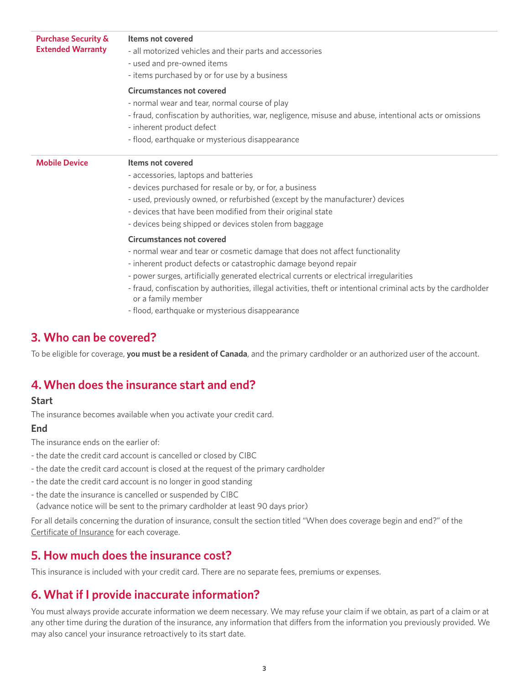| <b>Purchase Security &amp;</b><br><b>Extended Warranty</b> | Items not covered<br>- all motorized vehicles and their parts and accessories<br>- used and pre-owned items<br>- items purchased by or for use by a business                                                                                                                                                                                                                                                                                                                                                                                                                                                                                                                                                                                                                                                 |
|------------------------------------------------------------|--------------------------------------------------------------------------------------------------------------------------------------------------------------------------------------------------------------------------------------------------------------------------------------------------------------------------------------------------------------------------------------------------------------------------------------------------------------------------------------------------------------------------------------------------------------------------------------------------------------------------------------------------------------------------------------------------------------------------------------------------------------------------------------------------------------|
|                                                            | <b>Circumstances not covered</b><br>- normal wear and tear, normal course of play<br>- fraud, confiscation by authorities, war, negligence, misuse and abuse, intentional acts or omissions<br>- inherent product defect<br>- flood, earthquake or mysterious disappearance                                                                                                                                                                                                                                                                                                                                                                                                                                                                                                                                  |
| <b>Mobile Device</b>                                       | Items not covered<br>- accessories, laptops and batteries<br>- devices purchased for resale or by, or for, a business<br>- used, previously owned, or refurbished (except by the manufacturer) devices<br>- devices that have been modified from their original state<br>- devices being shipped or devices stolen from baggage<br><b>Circumstances not covered</b><br>- normal wear and tear or cosmetic damage that does not affect functionality<br>- inherent product defects or catastrophic damage beyond repair<br>- power surges, artificially generated electrical currents or electrical irregularities<br>- fraud, confiscation by authorities, illegal activities, theft or intentional criminal acts by the cardholder<br>or a family member<br>- flood, earthquake or mysterious disappearance |
|                                                            |                                                                                                                                                                                                                                                                                                                                                                                                                                                                                                                                                                                                                                                                                                                                                                                                              |

### **3. Who can be covered?**

To be eligible for coverage, **you must be a resident of Canada**, and the primary cardholder or an authorized user of the account.

## **4. When does the insurance start and end?**

#### **Start**

The insurance becomes available when you activate your credit card.

#### **End**

- The insurance ends on the earlier of:
- the date the credit card account is cancelled or closed by CIBC
- the date the credit card account is closed at the request of the primary cardholder
- the date the credit card account is no longer in good standing
- the date the insurance is cancelled or suspended by CIBC

(advance notice will be sent to the primary cardholder at least 90 days prior)

For all details concerning the duration of insurance, consult the section titled "When does coverage begin and end?" of the [Certificate of Insurance](https://www.cibc.com/content/dam/cibc-public-assets/personal-banking/credit-cards/all-credit-cards/costco/documents/cibc-costco-ins-cert-en.pdf) for each coverage.

## **5. How much does the insurance cost?**

This insurance is included with your credit card. There are no separate fees, premiums or expenses.

## **6. What if I provide inaccurate information?**

You must always provide accurate information we deem necessary. We may refuse your claim if we obtain, as part of a claim or at any other time during the duration of the insurance, any information that differs from the information you previously provided. We may also cancel your insurance retroactively to its start date.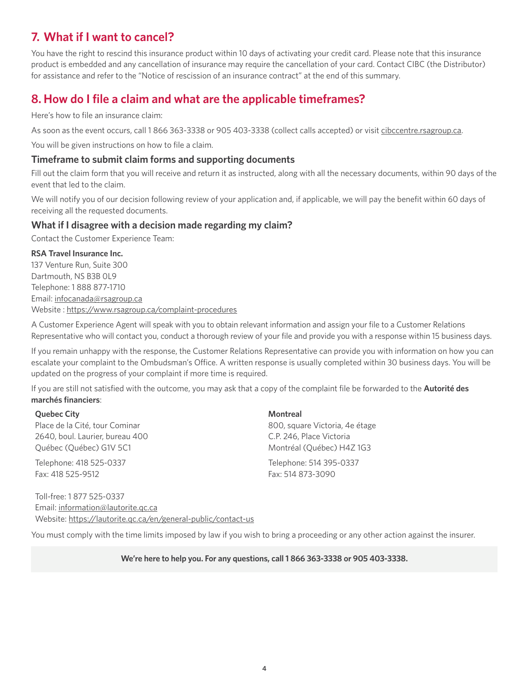## **7. What if I want to cancel?**

You have the right to rescind this insurance product within 10 days of activating your credit card. Please note that this insurance product is embedded and any cancellation of insurance may require the cancellation of your card. Contact CIBC (the Distributor) for assistance and refer to the "Notice of rescission of an insurance contract" at the end of this summary.

## **8. How do I file a claim and what are the applicable timeframes?**

Here's how to file an insurance claim:

As soon as the event occurs, call 1 866 363-3338 or 905 403-3338 (collect calls accepted) or visit [cibccentre.rsagroup.ca](http://cibccentre.rsagroup.ca).

You will be given instructions on how to file a claim.

#### **Timeframe to submit claim forms and supporting documents**

Fill out the claim form that you will receive and return it as instructed, along with all the necessary documents, within 90 days of the event that led to the claim.

We will notify you of our decision following review of your application and, if applicable, we will pay the benefit within 60 days of receiving all the requested documents.

#### **What if I disagree with a decision made regarding my claim?**

Contact the Customer Experience Team:

#### **RSA Travel Insurance Inc.**

137 Venture Run, Suite 300 Dartmouth, NS B3B 0L9 Telephone: 1 888 877-1710 Email: [infocanada@rsagroup.ca](mailto:infocanada@rsagroup.ca) Website : [https://www.rsagroup.ca/complaint-procedures](https://www.rsatravelinsurance.com/complaint-procedures)

A Customer Experience Agent will speak with you to obtain relevant information and assign your file to a Customer Relations Representative who will contact you, conduct a thorough review of your file and provide you with a response within 15 business days.

If you remain unhappy with the response, the Customer Relations Representative can provide you with information on how you can escalate your complaint to the Ombudsman's Office. A written response is usually completed within 30 business days. You will be updated on the progress of your complaint if more time is required.

If you are still not satisfied with the outcome, you may ask that a copy of the complaint file be forwarded to the **Autorité des marchés financiers**:

#### **Quebec City** Place de la Cité, tour Cominar 2640, boul. Laurier, bureau 400 Québec (Québec) G1V 5C1

Telephone: 418 525-0337 Fax: 418 525-9512

**Montreal** 800, square Victoria, 4e étage C.P. 246, Place Victoria Montréal (Québec) H4Z 1G3 Telephone: 514 395-0337 Fax: 514 873-3090

Toll-free: 1 877 525-0337 Email: [information@lautorite.qc.ca](mailto:information@lautorite.qc.ca) Website: <https://lautorite.qc.ca/en/general-public/contact-us>

You must comply with the time limits imposed by law if you wish to bring a proceeding or any other action against the insurer.

**We're here to help you. For any questions, call 1 866 363-3338 or 905 403-3338.**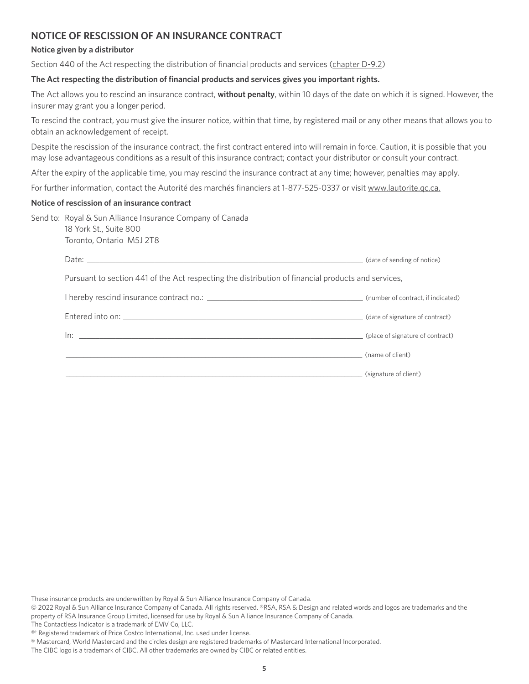### <span id="page-4-0"></span>**NOTICE OF RESCISSION OF AN INSURANCE CONTRACT**

#### **Notice given by a distributor**

Section 440 of the Act respecting the distribution of financial products and services [\(chapter D-9.2](http://legisquebec.gouv.qc.ca/en/document/cs/D-9.2))

#### **The Act respecting the distribution of financial products and services gives you important rights.**

The Act allows you to rescind an insurance contract, **without penalty**, within 10 days of the date on which it is signed. However, the insurer may grant you a longer period.

To rescind the contract, you must give the insurer notice, within that time, by registered mail or any other means that allows you to obtain an acknowledgement of receipt.

Despite the rescission of the insurance contract, the first contract entered into will remain in force. Caution, it is possible that you may lose advantageous conditions as a result of this insurance contract; contact your distributor or consult your contract.

After the expiry of the applicable time, you may rescind the insurance contract at any time; however, penalties may apply.

For further information, contact the Autorité des marchés financiers at 1-877-525-0337 or visit [www.lautorite.qc.ca.](https://lautorite.qc.ca/en/general-public)

#### **Notice of rescission of an insurance contract**

| Send to: Royal & Sun Alliance Insurance Company of Canada<br>18 York St., Suite 800<br>Toronto, Ontario M5J 2T8 |                       |  |
|-----------------------------------------------------------------------------------------------------------------|-----------------------|--|
|                                                                                                                 |                       |  |
| Pursuant to section 441 of the Act respecting the distribution of financial products and services,              |                       |  |
|                                                                                                                 |                       |  |
|                                                                                                                 |                       |  |
|                                                                                                                 |                       |  |
| (name of client)                                                                                                |                       |  |
|                                                                                                                 | (signature of client) |  |

These insurance products are underwritten by Royal & Sun Alliance Insurance Company of Canada.

- © 2022 Royal & Sun Alliance Insurance Company of Canada. All rights reserved. ®RSA, RSA & Design and related words and logos are trademarks and the property of RSA Insurance Group Limited, licensed for use by Royal & Sun Alliance Insurance Company of Canada.
- The Contactless Indicator is a trademark of EMV Co, LLC.

The CIBC logo is a trademark of CIBC. All other trademarks are owned by CIBC or related entities.

<sup>®&</sup>lt;sup>†</sup> Registered trademark of Price Costco International, Inc. used under license.

<sup>®</sup> Mastercard, World Mastercard and the circles design are registered trademarks of Mastercard International Incorporated.